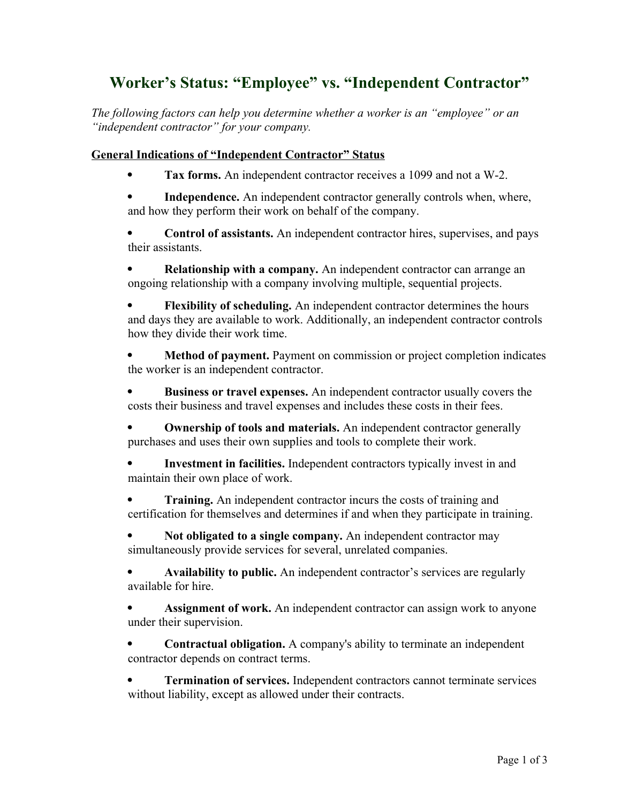## **Worker's Status: "Employee" vs. "Independent Contractor"**

*The following factors can help you determine whether a worker is an "employee" or an "independent contractor" for your company.*

## **General Indications of "Independent Contractor" Status**

**Tax forms.** An independent contractor receives a 1099 and not a W-2.

 **Independence.** An independent contractor generally controls when, where, and how they perform their work on behalf of the company.

 **Control of assistants.** An independent contractor hires, supervises, and pays their assistants.

 **Relationship with a company.** An independent contractor can arrange an ongoing relationship with a company involving multiple, sequential projects.

 **Flexibility of scheduling.** An independent contractor determines the hours and days they are available to work. Additionally, an independent contractor controls how they divide their work time.

 **Method of payment.** Payment on commission or project completion indicates the worker is an independent contractor.

 **Business or travel expenses.** An independent contractor usually covers the costs their business and travel expenses and includes these costs in their fees.

 **Ownership of tools and materials.** An independent contractor generally purchases and uses their own supplies and tools to complete their work.

 **Investment in facilities.** Independent contractors typically invest in and maintain their own place of work.

 **Training.** An independent contractor incurs the costs of training and certification for themselves and determines if and when they participate in training.

 **Not obligated to a single company.** An independent contractor may simultaneously provide services for several, unrelated companies.

 **Availability to public.** An independent contractor's services are regularly available for hire.

 **Assignment of work.** An independent contractor can assign work to anyone under their supervision.

• **Contractual obligation.** A company's ability to terminate an independent contractor depends on contract terms.

 **Termination of services.** Independent contractors cannot terminate services without liability, except as allowed under their contracts.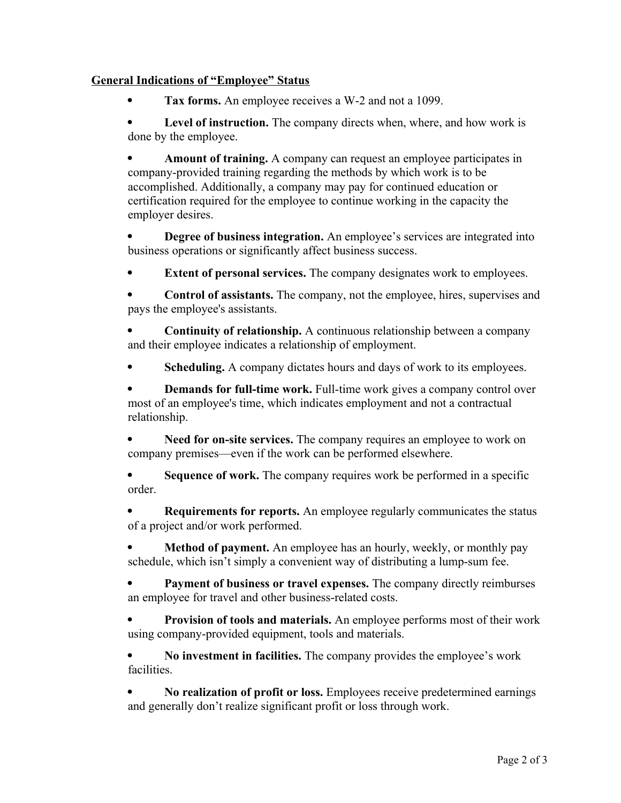## **General Indications of "Employee" Status**

**Tax forms.** An employee receives a W-2 and not a 1099.

Level of instruction. The company directs when, where, and how work is done by the employee.

 **Amount of training.** A company can request an employee participates in company-provided training regarding the methods by which work is to be accomplished. Additionally, a company may pay for continued education or certification required for the employee to continue working in the capacity the employer desires.

 **Degree of business integration.** An employee's services are integrated into business operations or significantly affect business success.

**Extent of personal services.** The company designates work to employees.

 **Control of assistants.** The company, not the employee, hires, supervises and pays the employee's assistants.

• **Continuity of relationship.** A continuous relationship between a company and their employee indicates a relationship of employment.

**Scheduling.** A company dictates hours and days of work to its employees.

 **Demands for full-time work.** Full-time work gives a company control over most of an employee's time, which indicates employment and not a contractual relationship.

 **Need for on-site services.** The company requires an employee to work on company premises—even if the work can be performed elsewhere.

 **Sequence of work.** The company requires work be performed in a specific order.

 **Requirements for reports.** An employee regularly communicates the status of a project and/or work performed.

 **Method of payment.** An employee has an hourly, weekly, or monthly pay schedule, which isn't simply a convenient way of distributing a lump-sum fee.

 **Payment of business or travel expenses.** The company directly reimburses an employee for travel and other business-related costs.

 **Provision of tools and materials.** An employee performs most of their work using company-provided equipment, tools and materials.

 **No investment in facilities.** The company provides the employee's work facilities.

 **No realization of profit or loss.** Employees receive predetermined earnings and generally don't realize significant profit or loss through work.